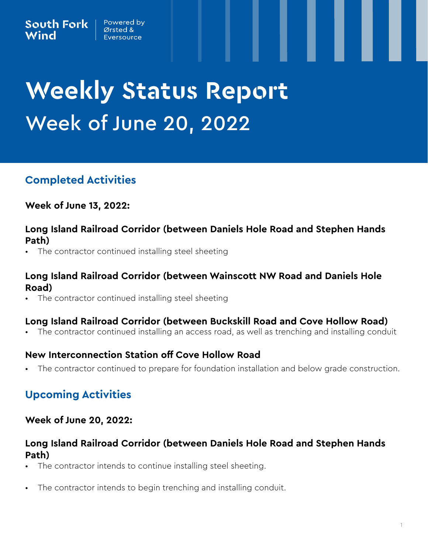# **Weekly Status Report Week of June 20, 2022**

# **Completed Activities**

**Week of June 13, 2022:**

#### **Long Island Railroad Corridor (between Daniels Hole Road and Stephen Hands Path)**

The contractor continued installing steel sheeting

## **Long Island Railroad Corridor (between Wainscott NW Road and Daniels Hole Road)**

• The contractor continued installing steel sheeting

#### **Long Island Railroad Corridor (between Buckskill Road and Cove Hollow Road)**

• The contractor continued installing an access road, as well as trenching and installing conduit

## **New Interconnection Station off Cove Hollow Road**

The contractor continued to prepare for foundation installation and below grade construction.

# **Upcoming Activities**

#### **Week of June 20, 2022:**

## **Long Island Railroad Corridor (between Daniels Hole Road and Stephen Hands Path)**

- The contractor intends to continue installing steel sheeting.
- The contractor intends to begin trenching and installing conduit.